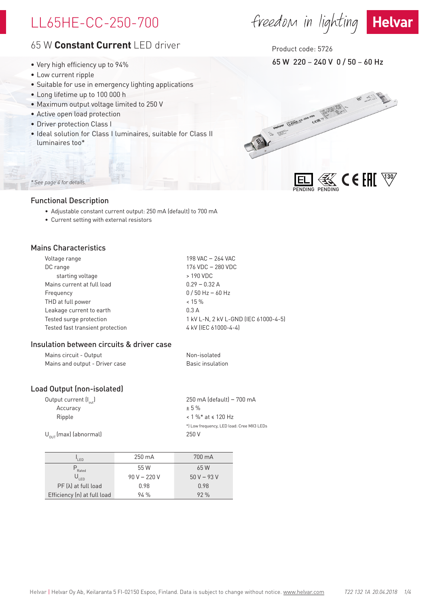## LL65HE-CC-250-700

## 65 W **Constant Current** LED driver

- Very high efficiency up to 94%
- Low current ripple
- Suitable for use in emergency lighting applications
- Long lifetime up to 100 000 h
- Maximum output voltage limited to 250 V
- Active open load protection
- Driver protection Class I
- Ideal solution for Class I luminaires, suitable for Class II luminaires too\*

## *\* See page 4 for details.*

### Functional Description

- Adjustable constant current output: 250 mA (default) to 700 mA
- Current setting with external resistors

## Mains Characteristics

| Voltage range                    | 198 VAC - 264 VAC                    |
|----------------------------------|--------------------------------------|
| DC range                         | 176 VDC - 280 VDC                    |
| starting voltage                 | > 190 VDC                            |
| Mains current at full load       | $0.29 - 0.32$ A                      |
| Frequency                        | $0/50$ Hz $-60$ Hz                   |
| THD at full power                | $< 15 \%$                            |
| Leakage current to earth         | 0.3A                                 |
| Tested surge protection          | 1 kV L-N, 2 kV L-GND (IEC 61000-4-5) |
| Tested fast transient protection | 4 kV (IEC 61000-4-4)                 |

### Insulation between circuits & driver case

| Mains circuit - Output         | Non-isolated     |
|--------------------------------|------------------|
| Mains and output - Driver case | Basic insulation |

## Load Output (non-isolated)

| 250 mA (default) – 700 mA                 |
|-------------------------------------------|
| $+5%$                                     |
| $< 1 \%$ * at $\le 120$ Hz                |
| *) Low frequency, LED load: Cree MX3 LEDs |
| 250 V                                     |
|                                           |

| I FD                        | $250 \text{ mA}$ | 700 mA      |
|-----------------------------|------------------|-------------|
| $P_{\text{Rated}}$          | 55 W             | 65 W        |
| $U_{LED}$                   | $90 V - 220 V$   | $50V - 93V$ |
| $PF(\lambda)$ at full load  | 0.98             | 0.98        |
| Efficiency (n) at full load | 94%              | 92%         |
|                             |                  |             |

## Product code: 5726

65 W 220 – 240 V 0 / 50 – 60 Hz



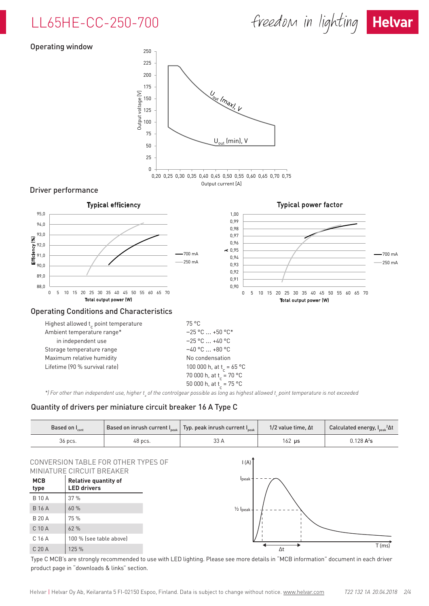## LL65HE-CC-250-700



#### Operating window



\*) For other than independent use, higher t<sub>a</sub> of the controlgear possible as long as highest allowed t<sub>c</sub> point temperature is not exceeded

### Quantity of drivers per miniature circuit breaker 16 A Type C

| Based on $I_{\text{cont}}$ |         | Based on inrush current $I_{\tiny{peak}}$ Typ. peak inrush current $I_{\tiny{peak}}$ | 1/2 value time, $\Delta t$ | Calculated energy, $I_{peak}^2\Delta t$ |
|----------------------------|---------|--------------------------------------------------------------------------------------|----------------------------|-----------------------------------------|
| 36 pcs.                    | 48 pcs. | 33 A                                                                                 | 162 µs                     | $0.128$ A <sup>2</sup> s                |

#### CONVERSION TABLE FOR OTHER TYPES OF MINIATURE CIRCUIT BREAKER

| MCB<br>type   | <b>Relative quantity of</b><br><b>LED drivers</b> |
|---------------|---------------------------------------------------|
| <b>B</b> 10 A | 37%                                               |
| <b>B</b> 16 A | 60 %                                              |
| <b>B 20 A</b> | 75 %                                              |
| $C$ 10 $A$    | 62%                                               |
| C.16A         | 100 % (see table above)                           |
| C 20 A        | 125 %                                             |



Type C MCB's are strongly recommended to use with LED lighting. Please see more details in "MCB information" document in each driver product page in "downloads & links" section.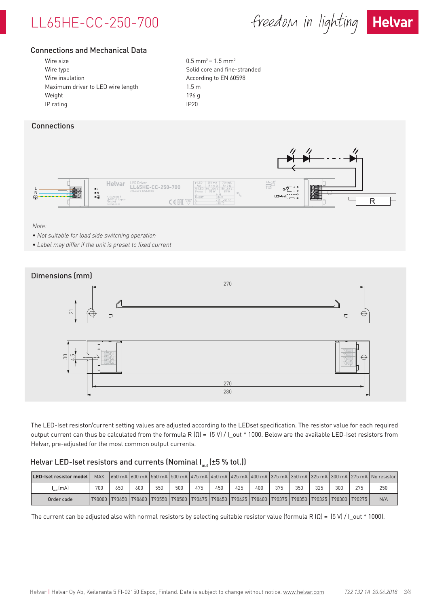# LL65HE-CC-250-700

freedom in lighting Helvar



## Connections and Mechanical Data

| Wire size                         | 0.5 <sub>m</sub> |
|-----------------------------------|------------------|
| Wire type                         | Solid            |
| Wire insulation                   | Accor            |
| Maximum driver to LED wire length | 1.5 <sub>m</sub> |
| Weight                            | 196 g            |
| IP rating                         | IP20             |
|                                   |                  |

 $0.5$  mm<sup>2</sup> – 1.5 mm<sup>2</sup> Solid core and fine-stranded According to EN 60598

### **Connections**



#### *Note:*

- *• Not suitable for load side switching operation*
- *• Label may differ if the unit is preset to fixed current*



The LED-Iset resistor/current setting values are adjusted according to the LEDset specification. The resistor value for each required output current can thus be calculated from the formula R (Ω) = (5 V) / I\_out \* 1000. Below are the available LED-Iset resistors from Helvar, pre-adjusted for the most common output currents.

### Helvar LED-Iset resistors and currents (Nominal  $I_{out}$  (±5 % tol.))

| LED-Iset resistor model L | <b>MAX</b> |     |     |     |     |     |     |     |     |     |     |     |     |                                                                                                                             | 650 mA 600 mA 550 mA 500 mA 475 mA 450 mA 425 mA 400 mA 375 mA 350 mA 325 mA 300 mA 275 mA No resistor |
|---------------------------|------------|-----|-----|-----|-----|-----|-----|-----|-----|-----|-----|-----|-----|-----------------------------------------------------------------------------------------------------------------------------|--------------------------------------------------------------------------------------------------------|
| $_{\text{out}}$ (mA)      | 700        | 650 | 600 | 550 | 500 | 475 | 450 | 425 | 400 | 375 | 350 | 325 | 300 | 275                                                                                                                         | 250                                                                                                    |
| Order code                |            |     |     |     |     |     |     |     |     |     |     |     |     | T90000   T90650   T90600   T90550   T90500   T90475   T90450   T90425   T90400   T90375   T90350   T90325   T90300   T90275 | N/A                                                                                                    |

The current can be adjusted also with normal resistors by selecting suitable resistor value (formula R  $(Q) = (5 V)/1$  out \* 1000).